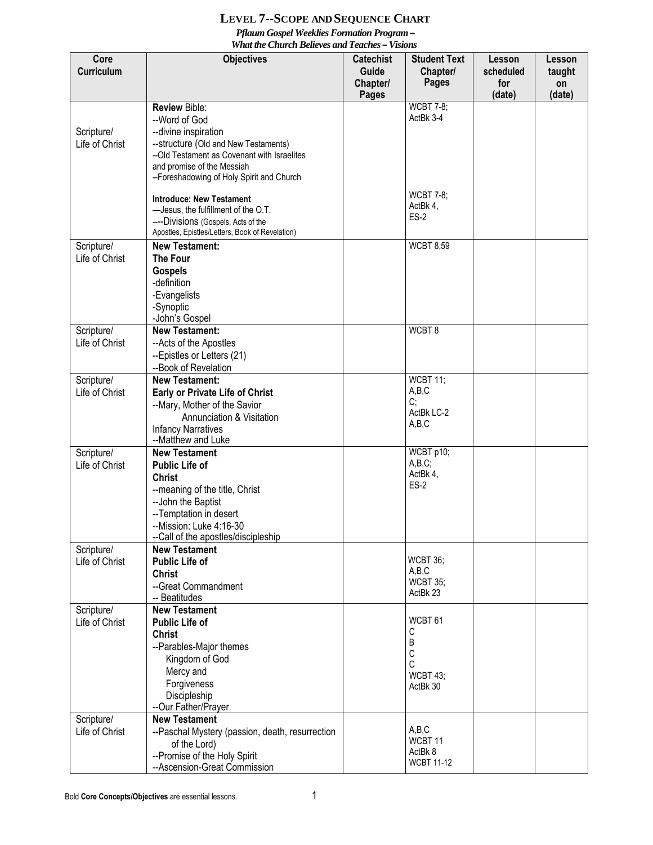## **LEVEL 7--SCOPE AND SEQUENCE CHART** *Pflaum Gospel Weeklies Formation Program – What the Church Believes and Teaches – Visions*

|                    | wna me Charch Deueves and Teaches – visions                                         |                                                                                                          |                              |                                             |                                  |
|--------------------|-------------------------------------------------------------------------------------|----------------------------------------------------------------------------------------------------------|------------------------------|---------------------------------------------|----------------------------------|
| Core<br>Curriculum | <b>Objectives</b>                                                                   | <b>Student Text</b><br><b>Catechist</b><br><b>Guide</b><br>Chapter/<br>Pages<br>Chapter/<br><b>Pages</b> |                              | <b>Lesson</b><br>scheduled<br>for<br>(date) | Lesson<br>taught<br>on<br>(date) |
|                    | <b>Review Bible:</b>                                                                |                                                                                                          | <b>WCBT 7-8;</b>             |                                             |                                  |
|                    | --Word of God                                                                       |                                                                                                          | ActBk 3-4                    |                                             |                                  |
| Scripture/         | --divine inspiration                                                                |                                                                                                          |                              |                                             |                                  |
| Life of Christ     | --structure (Old and New Testaments)<br>--Old Testament as Covenant with Israelites |                                                                                                          |                              |                                             |                                  |
|                    | and promise of the Messiah                                                          |                                                                                                          |                              |                                             |                                  |
|                    | --Foreshadowing of Holy Spirit and Church                                           |                                                                                                          |                              |                                             |                                  |
|                    |                                                                                     |                                                                                                          | <b>WCBT 7-8;</b>             |                                             |                                  |
|                    | <b>Introduce: New Testament</b>                                                     |                                                                                                          | ActBk 4,                     |                                             |                                  |
|                    | -Jesus, the fulfillment of the O.T.<br>----Divisions (Gospels, Acts of the          |                                                                                                          | <b>ES-2</b>                  |                                             |                                  |
|                    | Apostles, Epistles/Letters, Book of Revelation)                                     |                                                                                                          |                              |                                             |                                  |
| Scripture/         | <b>New Testament:</b>                                                               |                                                                                                          | <b>WCBT 8,59</b>             |                                             |                                  |
| Life of Christ     | <b>The Four</b>                                                                     |                                                                                                          |                              |                                             |                                  |
|                    | <b>Gospels</b>                                                                      |                                                                                                          |                              |                                             |                                  |
|                    | -definition                                                                         |                                                                                                          |                              |                                             |                                  |
|                    | -Evangelists                                                                        |                                                                                                          |                              |                                             |                                  |
|                    | -Synoptic<br>-John's Gospel                                                         |                                                                                                          |                              |                                             |                                  |
| Scripture/         | <b>New Testament:</b>                                                               |                                                                                                          | WCBT8                        |                                             |                                  |
| Life of Christ     | --Acts of the Apostles                                                              |                                                                                                          |                              |                                             |                                  |
|                    | --Epistles or Letters (21)                                                          |                                                                                                          |                              |                                             |                                  |
|                    | --Book of Revelation                                                                |                                                                                                          |                              |                                             |                                  |
| Scripture/         | <b>New Testament:</b>                                                               |                                                                                                          | WCBT 11;                     |                                             |                                  |
| Life of Christ     | <b>Early or Private Life of Christ</b>                                              |                                                                                                          | A,B,C<br>C;                  |                                             |                                  |
|                    | --Mary, Mother of the Savior                                                        |                                                                                                          | ActBk LC-2                   |                                             |                                  |
|                    | Annunciation & Visitation                                                           |                                                                                                          | A,B,C                        |                                             |                                  |
|                    | <b>Infancy Narratives</b><br>--Matthew and Luke                                     |                                                                                                          |                              |                                             |                                  |
| Scripture/         | <b>New Testament</b>                                                                |                                                                                                          | WCBT p10;                    |                                             |                                  |
| Life of Christ     | <b>Public Life of</b>                                                               |                                                                                                          | A,B,C;                       |                                             |                                  |
|                    | <b>Christ</b>                                                                       |                                                                                                          | ActBk 4,<br>$ES-2$           |                                             |                                  |
|                    | --meaning of the title, Christ                                                      |                                                                                                          |                              |                                             |                                  |
|                    | -- John the Baptist                                                                 |                                                                                                          |                              |                                             |                                  |
|                    | -- Temptation in desert<br>--Mission: Luke 4:16-30                                  |                                                                                                          |                              |                                             |                                  |
|                    | --Call of the apostles/discipleship                                                 |                                                                                                          |                              |                                             |                                  |
| Scripture/         | <b>New Testament</b>                                                                |                                                                                                          |                              |                                             |                                  |
| Life of Christ     | <b>Public Life of</b>                                                               |                                                                                                          | <b>WCBT 36;</b>              |                                             |                                  |
|                    | <b>Christ</b>                                                                       |                                                                                                          | A,B,C<br><b>WCBT 35;</b>     |                                             |                                  |
|                    | --Great Commandment<br>-- Beatitudes                                                |                                                                                                          | ActBk 23                     |                                             |                                  |
| Scripture/         | <b>New Testament</b>                                                                |                                                                                                          |                              |                                             |                                  |
| Life of Christ     | <b>Public Life of</b>                                                               |                                                                                                          | WCBT <sub>61</sub>           |                                             |                                  |
|                    | <b>Christ</b>                                                                       |                                                                                                          | С                            |                                             |                                  |
|                    | --Parables-Major themes                                                             |                                                                                                          | В                            |                                             |                                  |
|                    | Kingdom of God                                                                      |                                                                                                          | С<br>C                       |                                             |                                  |
|                    | Mercy and                                                                           |                                                                                                          | WCBT 43;                     |                                             |                                  |
|                    | Forgiveness                                                                         |                                                                                                          | ActBk 30                     |                                             |                                  |
|                    | Discipleship                                                                        |                                                                                                          |                              |                                             |                                  |
| Scripture/         | --Our Father/Prayer<br><b>New Testament</b>                                         |                                                                                                          |                              |                                             |                                  |
| Life of Christ     | --Paschal Mystery (passion, death, resurrection                                     |                                                                                                          | A,B,C                        |                                             |                                  |
|                    | of the Lord)                                                                        |                                                                                                          | WCBT 11                      |                                             |                                  |
|                    | --Promise of the Holy Spirit                                                        |                                                                                                          | ActBk 8<br><b>WCBT 11-12</b> |                                             |                                  |
|                    | --Ascension-Great Commission                                                        |                                                                                                          |                              |                                             |                                  |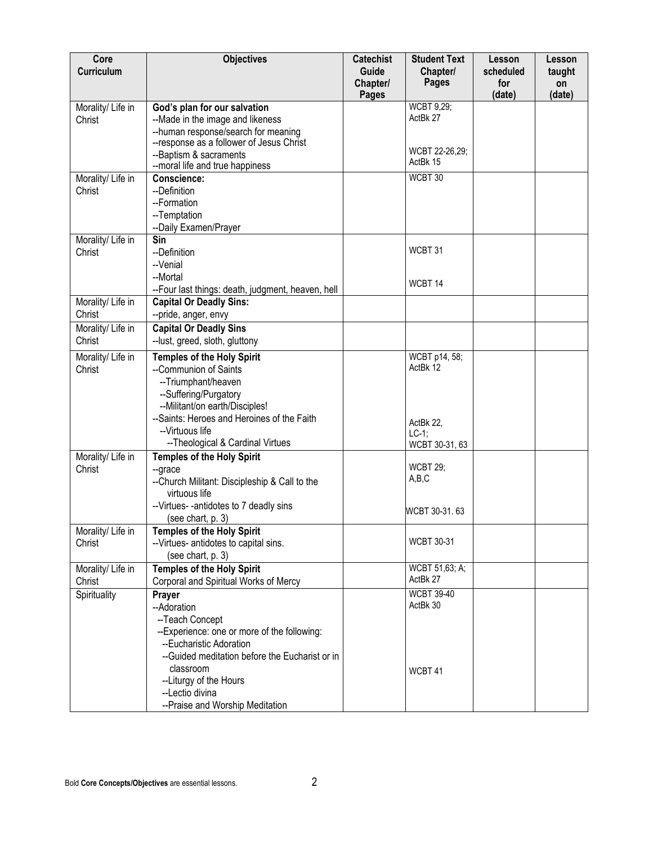| Core<br>Curriculum          | <b>Objectives</b>                                                                                                                                                                                                                                       | <b>Catechist</b><br>Guide<br>Chapter/<br><b>Pages</b> | <b>Student Text</b><br>Chapter/<br><b>Pages</b> | Lesson<br>scheduled<br>for<br>(date) | Lesson<br>taught<br>on<br>(date) |
|-----------------------------|---------------------------------------------------------------------------------------------------------------------------------------------------------------------------------------------------------------------------------------------------------|-------------------------------------------------------|-------------------------------------------------|--------------------------------------|----------------------------------|
| Morality/ Life in<br>Christ | God's plan for our salvation<br>--Made in the image and likeness<br>--human response/search for meaning<br>--response as a follower of Jesus Christ                                                                                                     |                                                       | <b>WCBT 9,29;</b><br>ActBk 27<br>WCBT 22-26,29; |                                      |                                  |
|                             | --Baptism & sacraments<br>--moral life and true happiness                                                                                                                                                                                               |                                                       | ActBk 15                                        |                                      |                                  |
| Morality/ Life in<br>Christ | Conscience:<br>--Definition<br>--Formation<br>--Temptation<br>--Daily Examen/Prayer                                                                                                                                                                     |                                                       | WCBT 30                                         |                                      |                                  |
| Morality/ Life in<br>Christ | Sin<br>--Definition<br>--Venial<br>--Mortal                                                                                                                                                                                                             |                                                       | WCBT 31<br>WCBT <sub>14</sub>                   |                                      |                                  |
| Morality/ Life in           | --Four last things: death, judgment, heaven, hell<br><b>Capital Or Deadly Sins:</b>                                                                                                                                                                     |                                                       |                                                 |                                      |                                  |
| Christ                      | --pride, anger, envy                                                                                                                                                                                                                                    |                                                       |                                                 |                                      |                                  |
| Morality/ Life in<br>Christ | <b>Capital Or Deadly Sins</b><br>--lust, greed, sloth, gluttony                                                                                                                                                                                         |                                                       |                                                 |                                      |                                  |
| Morality/ Life in<br>Christ | <b>Temples of the Holy Spirit</b><br>--Communion of Saints<br>--Triumphant/heaven<br>--Suffering/Purgatory<br>--Militant/on earth/Disciples!<br>--Saints: Heroes and Heroines of the Faith                                                              |                                                       | WCBT p14, 58;<br>ActBk 12                       |                                      |                                  |
|                             | --Virtuous life<br>-- Theological & Cardinal Virtues                                                                                                                                                                                                    |                                                       | ActBk 22,<br>$LC-1;$<br>WCBT 30-31, 63          |                                      |                                  |
| Morality/ Life in<br>Christ | <b>Temples of the Holy Spirit</b><br>--grace<br>--Church Militant: Discipleship & Call to the<br>virtuous life                                                                                                                                          |                                                       | <b>WCBT 29;</b><br>A,B,C                        |                                      |                                  |
|                             | --Virtues--antidotes to 7 deadly sins<br>(see chart, p. 3)                                                                                                                                                                                              |                                                       | WCBT 30-31.63                                   |                                      |                                  |
| Morality/ Life in<br>Christ | <b>Temples of the Holy Spirit</b><br>--Virtues- antidotes to capital sins.<br>(see chart, p. 3)                                                                                                                                                         |                                                       | <b>WCBT 30-31</b>                               |                                      |                                  |
| Morality/ Life in<br>Christ | <b>Temples of the Holy Spirit</b><br>Corporal and Spiritual Works of Mercy                                                                                                                                                                              |                                                       | WCBT 51,63; A;<br>ActBk 27                      |                                      |                                  |
| Spirituality                | Prayer                                                                                                                                                                                                                                                  |                                                       | <b>WCBT 39-40</b>                               |                                      |                                  |
|                             | --Adoration<br>--Teach Concept<br>--Experience: one or more of the following:<br>--Eucharistic Adoration<br>--Guided meditation before the Eucharist or in<br>classroom<br>--Liturgy of the Hours<br>--Lectio divina<br>--Praise and Worship Meditation |                                                       | ActBk 30<br>WCBT 41                             |                                      |                                  |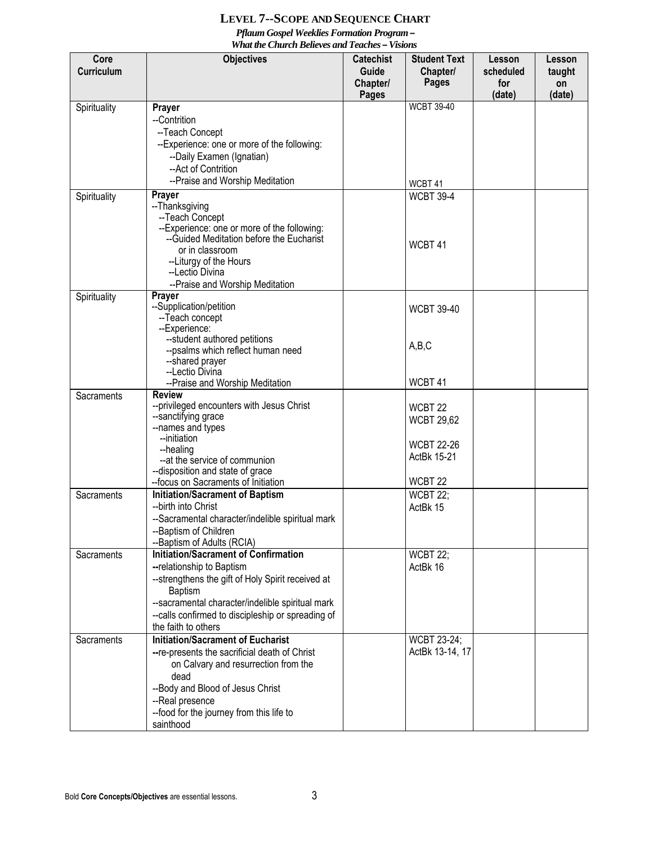## **LEVEL 7--SCOPE AND SEQUENCE CHART** *Pflaum Gospel Weeklies Formation Program – What the Church Believes and Teaches – Visions*

| Core         | <b>Objectives</b>                                                       | <b>Catechist</b>  | <b>Student Text</b>              | Lesson           | Lesson       |
|--------------|-------------------------------------------------------------------------|-------------------|----------------------------------|------------------|--------------|
| Curriculum   |                                                                         | Guide<br>Chapter/ | Chapter/<br><b>Pages</b>         | scheduled<br>for | taught<br>on |
|              |                                                                         | <b>Pages</b>      |                                  | (date)           | (date)       |
| Spirituality | Prayer                                                                  |                   | <b>WCBT 39-40</b>                |                  |              |
|              | --Contrition                                                            |                   |                                  |                  |              |
|              | --Teach Concept                                                         |                   |                                  |                  |              |
|              | --Experience: one or more of the following:                             |                   |                                  |                  |              |
|              | --Daily Examen (Ignatian)                                               |                   |                                  |                  |              |
|              | -- Act of Contrition                                                    |                   |                                  |                  |              |
|              | --Praise and Worship Meditation                                         |                   | WCBT 41                          |                  |              |
| Spirituality | Prayer<br>--Thanksgiving                                                |                   | <b>WCBT 39-4</b>                 |                  |              |
|              | --Teach Concept                                                         |                   |                                  |                  |              |
|              | --Experience: one or more of the following:                             |                   |                                  |                  |              |
|              | -- Guided Meditation before the Eucharist                               |                   | WCBT 41                          |                  |              |
|              | or in classroom                                                         |                   |                                  |                  |              |
|              | --Liturgy of the Hours<br>--Lectio Divina                               |                   |                                  |                  |              |
|              | --Praise and Worship Meditation                                         |                   |                                  |                  |              |
| Spirituality | Prayer                                                                  |                   |                                  |                  |              |
|              | --Supplication/petition                                                 |                   | <b>WCBT 39-40</b>                |                  |              |
|              | --Teach concept                                                         |                   |                                  |                  |              |
|              | --Experience:                                                           |                   |                                  |                  |              |
|              | --student authored petitions<br>--psalms which reflect human need       |                   | A,B,C                            |                  |              |
|              | --shared prayer                                                         |                   |                                  |                  |              |
|              | --Lectio Divina                                                         |                   |                                  |                  |              |
|              | --Praise and Worship Meditation                                         |                   | WCBT <sub>41</sub>               |                  |              |
| Sacraments   | <b>Review</b>                                                           |                   |                                  |                  |              |
|              | --privileged encounters with Jesus Christ<br>--sanctifying grace        |                   | WCBT <sub>22</sub>               |                  |              |
|              | --names and types                                                       |                   | <b>WCBT 29,62</b>                |                  |              |
|              | --initiation                                                            |                   |                                  |                  |              |
|              | --healing                                                               |                   | <b>WCBT 22-26</b><br>ActBk 15-21 |                  |              |
|              | --at the service of communion                                           |                   |                                  |                  |              |
|              | --disposition and state of grace<br>--focus on Sacraments of Initiation |                   | WCBT <sub>22</sub>               |                  |              |
| Sacraments   | <b>Initiation/Sacrament of Baptism</b>                                  |                   | <b>WCBT 22;</b>                  |                  |              |
|              | --birth into Christ                                                     |                   | ActBk 15                         |                  |              |
|              | --Sacramental character/indelible spiritual mark                        |                   |                                  |                  |              |
|              | --Baptism of Children                                                   |                   |                                  |                  |              |
|              | --Baptism of Adults (RCIA)                                              |                   |                                  |                  |              |
| Sacraments   | <b>Initiation/Sacrament of Confirmation</b>                             |                   | <b>WCBT 22;</b>                  |                  |              |
|              | --relationship to Baptism                                               |                   | ActBk 16                         |                  |              |
|              | --strengthens the gift of Holy Spirit received at                       |                   |                                  |                  |              |
|              | Baptism<br>--sacramental character/indelible spiritual mark             |                   |                                  |                  |              |
|              | --calls confirmed to discipleship or spreading of                       |                   |                                  |                  |              |
|              | the faith to others                                                     |                   |                                  |                  |              |
| Sacraments   | <b>Initiation/Sacrament of Eucharist</b>                                |                   | <b>WCBT 23-24;</b>               |                  |              |
|              | -- re-presents the sacrificial death of Christ                          |                   | ActBk 13-14, 17                  |                  |              |
|              | on Calvary and resurrection from the                                    |                   |                                  |                  |              |
|              | dead                                                                    |                   |                                  |                  |              |
|              | --Body and Blood of Jesus Christ                                        |                   |                                  |                  |              |
|              | --Real presence                                                         |                   |                                  |                  |              |
|              | --food for the journey from this life to                                |                   |                                  |                  |              |
|              | sainthood                                                               |                   |                                  |                  |              |